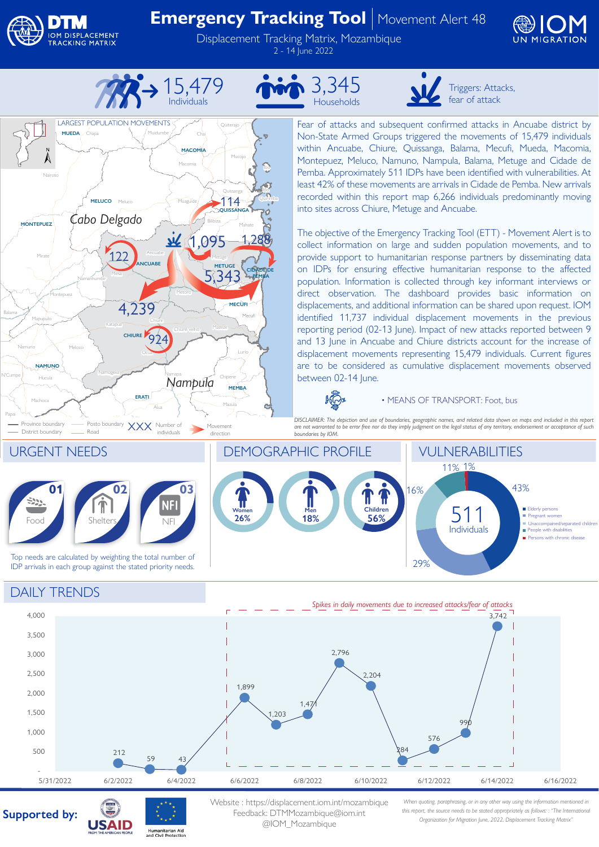

Nairoto

Mirate

**MONTEPUEZ**

Mapupulo

Montepuez

District boundary

Machoca

Papai

N'Cumpe

Balama

**Hucula** 

**NAMUNO**

**LARGEST POPULATION MOVEMENTS** 

**MUEDA**

Chapa

**MELUCO**

*Cabo Delgado*

## **Emergency Tracking Tool** | Movement Alert 48

Displacement Tracking Matrix, Mozambique 2 - 14 June 2022





Muidumbe

 $C<sub>h</sub>$ 

Macomia

**MACOMIA**

Muaguide

Ancuabe

**ANCUABE**

Chiure

 $Q<sub>0</sub>$ 

Alua

**ERATI**

Namapa

Metoro

 $\mathcal{U}$ 

Chiure Velho

*Nampula*

Mazula

**MEMBA**

Chipene

Metuge

**METUGE** 5,343

Mazeze

Bilibiza Mahate

1,095 1,288

Mieze

**MECUFI**

**CIDADE DE PEMBA**

Quissanga

114

**QUISSANGA**

Mucojo

Ibo

Quirimba

Quiterajo

Meluco

Mesa

 $122$ 

Namanhumbir

Katapua

Meloco **Company Company Company** 

Namogelia

Namuno Meloco (Cuando Counter de lurio de lurio de lurio de lurio de lurio de lurio de lurio de lurio de lurio

Province boundary - Posto boundary  $XXX$  Number of Movement District boundary - Road

**CHIURE**

4,239







Triggers: Attacks, fear of attack

Fear of attacks and subsequent confirmed attacks in Ancuabe district by Non-State Armed Groups triggered the movements of 15,479 individuals within Ancuabe, Chiure, Quissanga, Balama, Mecufi, Mueda, Macomia, Montepuez, Meluco, Namuno, Nampula, Balama, Metuge and Cidade de Pemba. Approximately 511 IDPs have been identified with vulnerabilities. At least 42% of these movements are arrivals in Cidade de Pemba. New arrivals recorded within this report map 6,266 individuals predominantly moving into sites across Chiure, Metuge and Ancuabe.

The objective of the Emergency Tracking Tool (ETT) - Movement Alert is to collect information on large and sudden population movements, and to provide support to humanitarian response partners by disseminating data on IDPs for ensuring effective humanitarian response to the affected population. Information is collected through key informant interviews or direct observation. The dashboard provides basic information on displacements, and additional information can be shared upon request. IOM identified 11,737 individual displacement movements in the previous reporting period (02-13 June). Impact of new attacks reported between 9 and 13 June in Ancuabe and Chiure districts account for the increase of displacement movements representing 15,479 individuals. Current figures are to be considered as cumulative displacement movements observed between 02-14 June.

 $\sqrt{2}$ 

• MEANS OF TRANSPORT: Foot, bus

*DISCLAIMER: The depiction and use of boundaries, geographic names, and related data shown on maps and included in this report are not warranted to be error free nor do they imply judgment on the legal status of any territory, endorsement or acceptance of such boundaries by IOM.* 



## DAILY TRENDS



## **Supported by:**



Website : https://displacement.iom.int/mozambique Feedback: DTMMozambique@iom.int @IOM\_Mozambique

*When quoting, paraphrasing, or in any other way using the information mentioned in this report, the source needs to be stated appropriately as follows: : "The International Organization for Migration June, 2022, Displacement Tracking Matrix"*